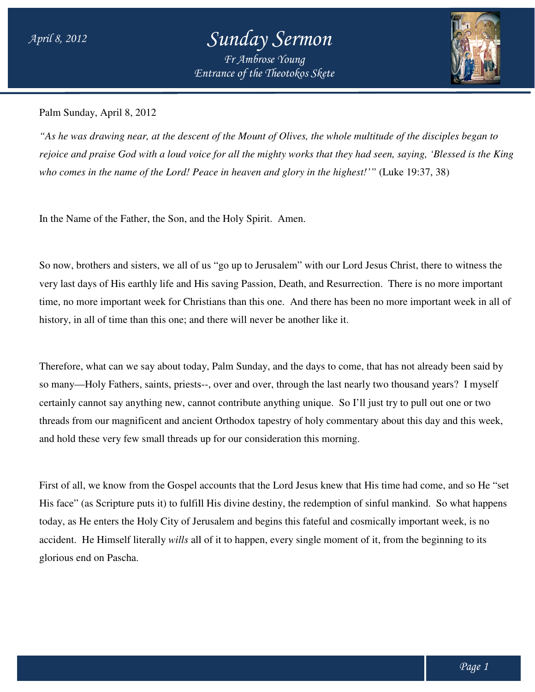## *Entrance of the Theotokos Skete Sunday Sermon Fr Ambrose Young*



Palm Sunday, April 8, 2012

*"As he was drawing near, at the descent of the Mount of Olives, the whole multitude of the disciples began to rejoice and praise God with a loud voice for all the mighty works that they had seen, saying, 'Bless 'Blessed is the King*  rejoice and praise God with a loud voice for all the mighty works that they had seen, saying, 'Bless<br>who comes in the name of the Lord! Peace in heaven and glory in the highest!'" (Luke 19:37, 38)

In the Name of the Father, the Son, and the Holy Spirit. Amen.

So now, brothers and sisters, we all of us "go up to Jerusalem" with our Lord Jesus Christ, there to witness the very last days of His earthly life and His saving Passion, Death, and Resurrection. There is no more important time, no more important week for Christians than this one. And there has been no more important week in all of history, in all of time than this one; and there will never be another like it.

Therefore, what can we say about today, Palm Sunday, and the days to come, that has not already been said by Therefore, what can we say about today, Palm Sunday, and the days to come, that has not already been said by<br>so many—Holy Fathers, saints, priests--, over and over, through the last nearly two thousand years? I myself certainly cannot say anything new, cannot contribute anything unique. So I'll just try to pull out one or two certainly cannot say anything new, cannot contribute anything unique. So I'll just try to pull out one or two<br>threads from our magnificent and ancient Orthodox tapestry of holy commentary about this day and this week, and hold these very few small threads up for our consideration this morning.

First of all, we know from the Gospel accounts that the Lord Jesus knew that His time had come, and so He "set His face" (as Scripture puts it) to fulfill His divine destiny, the redemption of sinful mankind. So what happens today, as He enters the Holy City of Jerusalem and begins this fateful and cosmically important week, is no today, as He enters the Holy City of Jerusalem and begins this fateful and cosmically important week, is no<br>accident. He Himself literally *wills* all of it to happen, every single moment of it, from the beginning to its glorious end on Pascha. It magnificent and ancient Orthodox tapestry of holy commentary about this d<br>very few small threads up for our consideration this morning.<br>know from the Gospel accounts that the Lord Jesus knew that His time had co<br>criptur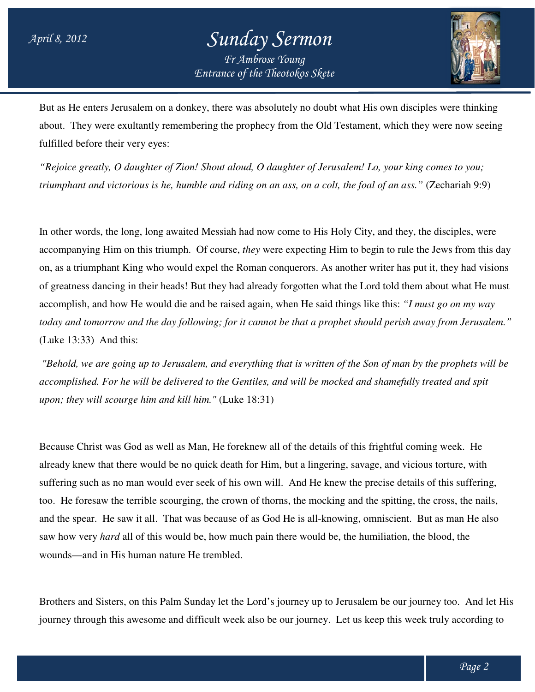## *Entrance of the Theotokos Skete Sunday Sermon Fr Ambrose Young*



But as He enters Jerusalem on a donkey, there was absolutely no doubt what His own disciples were thinking But as He enters Jerusalem on a donkey, there was absolutely no doubt what His own disciples were thinking<br>about. They were exultantly remembering the prophecy from the Old Testament, which they were now seeing fulfilled before their very eyes:

"Rejoice greatly, O daughter of Zion! Shout aloud, O daughter of Jerusalem! Lo, your king comes to you;<br>triumphant and victorious is he, humble and riding on an ass, on a colt, the foal of an ass." (Zechariah 9:9 *triumphant and victorious is he, humble and riding on an ass, on a colt, the foal of an ass."* (Zechariah 9:9)

In other words, the long, long awaited Messiah had now come to His Holy City, and they, the disciples, were accompanying Him on this triumph. Of course, *they* were expecting Him to begin to rule the Jews from this day on, as a triumphant King who would expel the Roman conquerors. As another writer has put it, they had visions of greatness dancing in their heads! But they had already forgotten what the Lord told them about what He must accomplish, and how He would die and be raised again, when He said things like this: "I must go on my way *today and tomorrow and the day following; for it cannot be that a prophet should perish away from Jerusalem."* (Luke 13:33) And this:

*"Behold, we are going up to Jerusalem, and everything that is written of the Son of man by the prophets will be accomplished. For he will be delivered to the Gentiles, and will be mocked and shamefully treated and spit upon; they will scourge him and kill him." following; for it cannot be that a prophet should perish away from Jerusal*<br> *following* the prophets.<br> *following the going up to Jerusalem, and everything that is written of the Son of man by the prophets will<br>
<i>hed. Fo* 

Because Christ was God as well as Man, He foreknew all of the details of this frightful coming week. He already knew that there would be no quick death for Him, but a lingering, savage, and vicious torture, with suffering such as no man would ever seek of his own will. And He knew the precise details of this suffering, too. He foresaw the terrible scourging, the crown of thorns, the mocking and the spitting, the cross, the nails, and the spear. He saw it all. That was because of as God He is all-knowing, omniscient. But as man He also saw how very *hard* all of this would be, how much pain there would be, the humiliation, the blood, the wounds—and in His human nature He trembled. God as well as Man, He foreknew all of the details of this frightful coming week. He<br>ere would be no quick death for Him, but a lingering, savage, and vicious torture, with<br>man would ever seek of his own will. And He knew

wounds—and in His human nature He trembled.<br>Brothers and Sisters, on this Palm Sunday let the Lord's journey up to Jerusalem be our journey too. And let His journey through this awesome and difficult week also be our journey. Let us keep this week truly according to